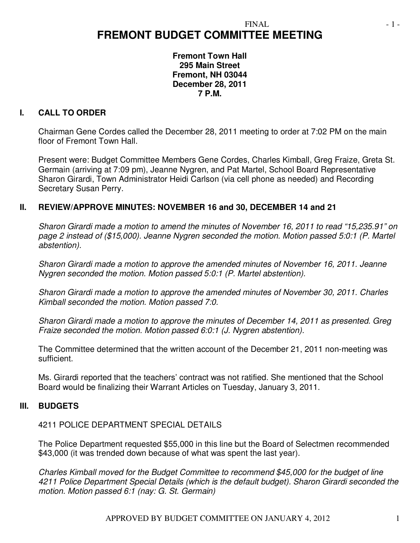# **FREMONT BUDGET COMMITTEE MEETING**

**Fremont Town Hall 295 Main Street Fremont, NH 03044 December 28, 2011 7 P.M.** 

### **I. CALL TO ORDER**

Chairman Gene Cordes called the December 28, 2011 meeting to order at 7:02 PM on the main floor of Fremont Town Hall.

Present were: Budget Committee Members Gene Cordes, Charles Kimball, Greg Fraize, Greta St. Germain (arriving at 7:09 pm), Jeanne Nygren, and Pat Martel, School Board Representative Sharon Girardi, Town Administrator Heidi Carlson (via cell phone as needed) and Recording Secretary Susan Perry.

#### **II. REVIEW/APPROVE MINUTES: NOVEMBER 16 and 30, DECEMBER 14 and 21**

*Sharon Girardi made a motion to amend the minutes of November 16, 2011 to read "15,235.91" on page 2 instead of (\$15,000). Jeanne Nygren seconded the motion. Motion passed 5:0:1 (P. Martel abstention).* 

*Sharon Girardi made a motion to approve the amended minutes of November 16, 2011. Jeanne Nygren seconded the motion. Motion passed 5:0:1 (P. Martel abstention).* 

*Sharon Girardi made a motion to approve the amended minutes of November 30, 2011. Charles Kimball seconded the motion. Motion passed 7:0.* 

*Sharon Girardi made a motion to approve the minutes of December 14, 2011 as presented. Greg Fraize seconded the motion. Motion passed 6:0:1 (J. Nygren abstention).*

The Committee determined that the written account of the December 21, 2011 non-meeting was sufficient.

Ms. Girardi reported that the teachers' contract was not ratified. She mentioned that the School Board would be finalizing their Warrant Articles on Tuesday, January 3, 2011.

#### **III. BUDGETS**

4211 POLICE DEPARTMENT SPECIAL DETAILS

The Police Department requested \$55,000 in this line but the Board of Selectmen recommended \$43,000 (it was trended down because of what was spent the last year).

*Charles Kimball moved for the Budget Committee to recommend \$45,000 for the budget of line 4211 Police Department Special Details (which is the default budget). Sharon Girardi seconded the motion. Motion passed 6:1 (nay: G. St. Germain)*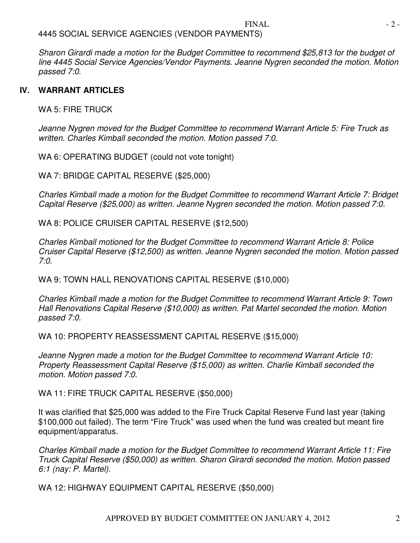### 4445 SOCIAL SERVICE AGENCIES (VENDOR PAYMENTS)

*Sharon Girardi made a motion for the Budget Committee to recommend \$25,813 for the budget of line 4445 Social Service Agencies/Vendor Payments. Jeanne Nygren seconded the motion. Motion passed 7:0.* 

#### **IV. WARRANT ARTICLES**

WA 5: FIRE TRUCK

*Jeanne Nygren moved for the Budget Committee to recommend Warrant Article 5: Fire Truck as written. Charles Kimball seconded the motion. Motion passed 7:0.* 

WA 6: OPERATING BUDGET (could not vote tonight)

WA 7: BRIDGE CAPITAL RESERVE (\$25,000)

*Charles Kimball made a motion for the Budget Committee to recommend Warrant Article 7: Bridget Capital Reserve (\$25,000) as written. Jeanne Nygren seconded the motion. Motion passed 7:0.* 

WA 8: POLICE CRUISER CAPITAL RESERVE (\$12,500)

*Charles Kimball motioned for the Budget Committee to recommend Warrant Article 8: Police Cruiser Capital Reserve (\$12,500) as written. Jeanne Nygren seconded the motion. Motion passed 7:0.* 

WA 9: TOWN HALL RENOVATIONS CAPITAL RESERVE (\$10,000)

*Charles Kimball made a motion for the Budget Committee to recommend Warrant Article 9: Town Hall Renovations Capital Reserve (\$10,000) as written. Pat Martel seconded the motion. Motion passed 7:0.* 

WA 10: PROPERTY REASSESSMENT CAPITAL RESERVE (\$15,000)

*Jeanne Nygren made a motion for the Budget Committee to recommend Warrant Article 10: Property Reassessment Capital Reserve (\$15,000) as written. Charlie Kimball seconded the motion. Motion passed 7:0.* 

WA 11: FIRE TRUCK CAPITAL RESERVE (\$50,000)

It was clarified that \$25,000 was added to the Fire Truck Capital Reserve Fund last year (taking \$100,000 out failed). The term "Fire Truck" was used when the fund was created but meant fire equipment/apparatus.

*Charles Kimball made a motion for the Budget Committee to recommend Warrant Article 11: Fire Truck Capital Reserve (\$50,000) as written. Sharon Girardi seconded the motion. Motion passed 6:1 (nay: P. Martel).* 

WA 12: HIGHWAY EQUIPMENT CAPITAL RESERVE (\$50,000)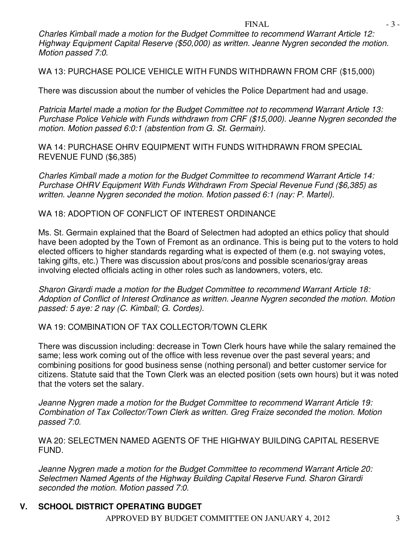*Charles Kimball made a motion for the Budget Committee to recommend Warrant Article 12: Highway Equipment Capital Reserve (\$50,000) as written. Jeanne Nygren seconded the motion. Motion passed 7:0.* 

WA 13: PURCHASE POLICE VEHICLE WITH FUNDS WITHDRAWN FROM CRF (\$15,000)

There was discussion about the number of vehicles the Police Department had and usage.

*Patricia Martel made a motion for the Budget Committee not to recommend Warrant Article 13: Purchase Police Vehicle with Funds withdrawn from CRF (\$15,000). Jeanne Nygren seconded the motion. Motion passed 6:0:1 (abstention from G. St. Germain).* 

WA 14: PURCHASE OHRV EQUIPMENT WITH FUNDS WITHDRAWN FROM SPECIAL REVENUE FUND (\$6,385)

*Charles Kimball made a motion for the Budget Committee to recommend Warrant Article 14: Purchase OHRV Equipment With Funds Withdrawn From Special Revenue Fund (\$6,385) as written. Jeanne Nygren seconded the motion. Motion passed 6:1 (nay: P. Martel).* 

#### WA 18: ADOPTION OF CONFLICT OF INTEREST ORDINANCE

Ms. St. Germain explained that the Board of Selectmen had adopted an ethics policy that should have been adopted by the Town of Fremont as an ordinance. This is being put to the voters to hold elected officers to higher standards regarding what is expected of them (e.g. not swaying votes, taking gifts, etc.) There was discussion about pros/cons and possible scenarios/gray areas involving elected officials acting in other roles such as landowners, voters, etc.

*Sharon Girardi made a motion for the Budget Committee to recommend Warrant Article 18: Adoption of Conflict of Interest Ordinance as written. Jeanne Nygren seconded the motion. Motion passed: 5 aye: 2 nay (C. Kimball; G. Cordes).* 

#### WA 19: COMBINATION OF TAX COLLECTOR/TOWN CLERK

There was discussion including: decrease in Town Clerk hours have while the salary remained the same; less work coming out of the office with less revenue over the past several years; and combining positions for good business sense (nothing personal) and better customer service for citizens. Statute said that the Town Clerk was an elected position (sets own hours) but it was noted that the voters set the salary.

*Jeanne Nygren made a motion for the Budget Committee to recommend Warrant Article 19: Combination of Tax Collector/Town Clerk as written. Greg Fraize seconded the motion. Motion passed 7:0.* 

WA 20: SELECTMEN NAMED AGENTS OF THE HIGHWAY BUILDING CAPITAL RESERVE FUND.

*Jeanne Nygren made a motion for the Budget Committee to recommend Warrant Article 20: Selectmen Named Agents of the Highway Building Capital Reserve Fund. Sharon Girardi seconded the motion. Motion passed 7:0.* 

## **V. SCHOOL DISTRICT OPERATING BUDGET**

APPROVED BY BUDGET COMMITTEE ON JANUARY 4, 2012 3